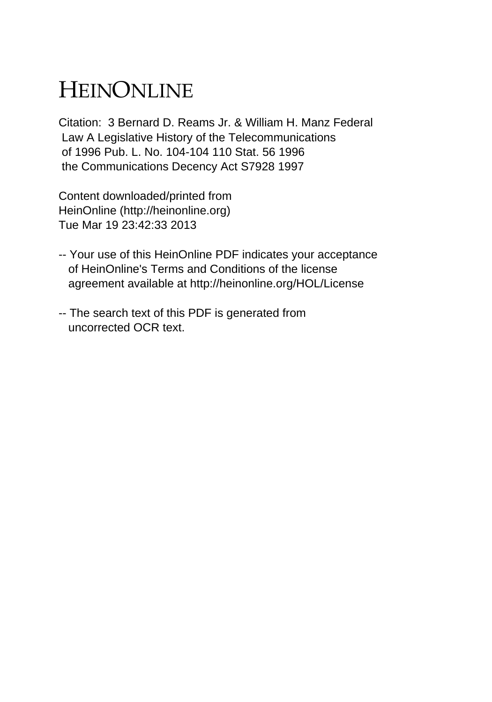## HEINONLINE

Citation: 3 Bernard D. Reams Jr. & William H. Manz Federal Law A Legislative History of the Telecommunications of 1996 Pub. L. No. 104-104 110 Stat. 56 1996 the Communications Decency Act S7928 1997

Content downloaded/printed from HeinOnline (http://heinonline.org) Tue Mar 19 23:42:33 2013

- -- Your use of this HeinOnline PDF indicates your acceptance of HeinOnline's Terms and Conditions of the license agreement available at http://heinonline.org/HOL/License
- -- The search text of this PDF is generated from uncorrected OCR text.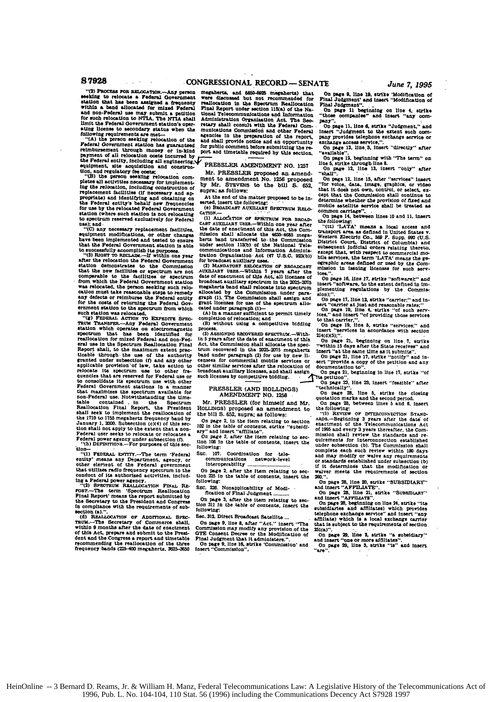"(2) PROCESS FOR RELOCATION .- Any person<br>seeking to relocate a Federal Government<br>station that has been assigned a frequency<br>within a band allocated for mixed Federal within a band allocated for mixed Federal and non-Federal use may submit a petition<br>and non-Federal use may submit a petition<br>for such relocation to NTIA, The NTIA shall<br>limit the Federal Government station's oper-<br>tollowi

"(A) the person seeing relocation of the person setting relocation and relation has guaranteed reimbursement through money or in-kind payment of all relocation costs incurred by equipment, site acquisition and construction

The person seeking relocation community plates all activities necessary for implementing the relocation, including construction of replacement facilities (if necessary and appropriate) and person propriate) and identifying to spectrum reserved exclusively for Federal  $\sim$ 

use); and<br>"(C) any necessary replacement facilities,<br>equipment modifications, or other changes<br>have been implemented and tested to ensure have has been imperienced and tested to ensure that the Federal Government station is able<br>to successfully accomplish its purposes.<br>"(3) Rushr To RECLADA...-If within one year.<br>"(3) Rushr To RECLADA the Federal Government

station demonstrates to the Commission<br>station demonstrates to the Commission<br>comparable to the facilities or spectrum are not<br>comparable to the facilities or spectrum<br>from which the Federal Government station from which the Federal Government station<br>was relocated, the person seeking such relocation<br>cation must take reasonable steps to remedy<br>any defects or relimitives the Federal ority<br>for the costs of reluting the Federal Gov

erment station to the spectrum from which<br>such station was relocated.<br>"(2) PEDERAL ACTION TO EXPEDITE SPECIES<br>TRUM TRANSPER...-Any Pederal Ocvernment<br>station which operates on electromagnetic spectrum that has been identif report small, to the maximum stream terms the subbrity<br>granted under subsection (f) and any other<br>spilicable provision of law, take action to<br>relocate its spectrum use to other fre-<br>relocate its spectrum use to other fre-<br> quencies that are reserved for Federal use or<br>to consolidate its spectrum use with other<br>Federal Government stations in a manner<br>that maximizes the spectrum available for<br>non-Federal use. Notwithstanding the time-<br>table co shall seek to implement the realionation of<br>the 1710 to 1755 megahertz frequency band by<br>January 1, 2000. Subsection (c)(4) of this sec-<br>tion shall not apply to the extent that a non-<br>gederal user seeks to relocate or rel Federal power agency under subsection ("(h) DEFINITIONS.-For purposes of this tion

(1) FEDERAL ENTITY.-The term 'Federal entity' entity' means any Department, agency, or<br>other element of the Federal government<br>that utilizes made from an accurate that that utilizes radio frequency spectrum in the conduct of its authorized activities, includ-

conduct of its automotive way with the final Refuge of the REAL CONTION FINAL RE-<br>"(2) SPECTRUM REALLOCATION FINAL RE-Four-The term "Spectrum Reallocation"<br>Pinal Report means the report submitted by<br>the Secretary to the President and Congress<br>in compliance with the requirements of sub-

Bection (a)."<br>
(d) REALIZORITOR OF ADDITIONAL SPEC-<br>
(d) REALIZORITOR OF COMMERCE shall,<br>
TRUM—The Secretary of Commerce shall,<br>
within 9 months after the date of enactment of this Act, prepare and sphritt to the Presiof the and the Congress a report and the characteristic recommending the reallocation of the three frequency bands (225-400 megahertz, 3625-3650)

megabertz, and 5850-5925 megahertz) that megaheria, and 6850-6925 megaherial that<br>were discussed but not recommended for<br>reallocation in the Bpectrum Reallocation<br>Final Report under section 113(a) of the Na-<br>tional Telecommenications and Information<br>Administratio munications Commission and other Federal munications Commission and other Federal<br>species in the preparation of the report,<br>and shall provide notice and an opportunity<br>for public comment before submitting the re-<br>port and timetable required by this section.

PRESSLER AMENDMENT NO. 1257

Mr. PRESSLER proposed an amendment to amendment No. 1256 proposed<br>by Mr. STEVENS to the bill S. 652. supra: as follows:

author as Antibox.<br>
At the end of the matter proposed to be in-<br>
serted, insert the following:<br>
(e) BROADCAST AUXILIARY SPECTRUM RELO-

(e) BROADCAST AUXILIART SPECTRUM RELOCATION CONTROL<br>CATION CONTROL CATION CONTROL CATION CATION CATION CATION CATION CATION CAST AUXILIART USES. Within one gear after the disk of enactions of this Act, the Commission and i

grant licenses for use of the spectrum allo-

stated under paragraph (1)-<br>
(A) in a manner sufficient to permit timely<br>
completion of relocation; and<br>
competitive bidding<br>
(B) without using a competitive bidding

 $(3)$  ASSIGNING REMURDED SERVICED  $W = W(t)$ (3) ASSIGNMG ELECTRUM.-WILD-<br>In 5 years after the date of enactment of this<br>Act, the Commission shall allocate the spec-<br>trum recovered in the 2025-2075 megahertz while recovered in the 2022-2010 meganetry.<br>band under paragraph (2) for use by new life<br>censees for commercial mobile services or<br>other similar services after the relocation of<br>broadcast auxiliary licenses, and shall assi

## PRESSLER (AND HOLLINGS) **AMENDMENT NO. 1258**

Mr. PRESSLER (for himself and Mr. HOLLINGS) proposed an amendment to<br>the bill S. 652, supra; as follows:

the bill S. boz, supra, as iomnows.<br>
On page 2, in the item relating to section<br>
102 in the table of contents, strike "subsidi-<br>
ary" and insert "affiliate".<br>
The strike item relating to section 105 in the table of conten

following:

SEC. 107. Coordination

On page 2, after the item relating to sec-<br>tion 225 in the table of contents, insert the following:

226. Nonapplicability of Modi-SEC.

fleation of Final Judgment .... On page 3, after the item relating to section 311 in the table of contents, insert the

following. Sec. 312. Direct Broadcast Satellite

On page 9, line 8, after "Act." insert "T? Commission may modify any provision of the<br>GTE Consent Decree or the Modification of<br>Final Judgment that it administers.".

On page 9, line 16, strike 'Commission' and<br>insert "Commission".

On page 9, line 19, strike 'Modification of<br>Final Judgment' and insert "Modification of

Final Judgment and ments succession.<br>
Thal Judgment"...,<br>
On page 11 beginning on line 4, strike<br>
"those companies" and insert "any com-DARY"

umpy<br>
On page 11, line 6, strike "Judgment," and<br>
insert "Judgment to the artent such com-<br>
pany provides telephone exchange service or<br>
exchange access service,".

"Commas access service,".<br>On page 12, line 3, insert "directly" after<br>"available".

"shall".<br>
"On page 12. line 15, after "services" insert<br>
On page 12. line 15, after "services" insert<br>
that it does not own, control, or select, ex-<br>
cept that the Commission shall continue to<br>
determine whether the provis

the following:

the following.<br>The following.<br>The following in the following.<br>The following is defined in United States v.<br>Western Bleckrie Co. 569 F. Supp. 999 (U.S. Supplement Delayer District of Columbia) and<br>states places are strained

numbers.<br>
On page 16, line 17, strike "software);" and<br>
insert "software, to the extent defined in im-<br>
instance by the Commis $sinh$ 

.<br>1 page 17, line 12, strike "carrier;" ō and insert

on page 19, line as we are the ratio rates."<br>On page 19, line 4, strike "of such serv-<br>es," and insert "of providing those services ices. to that carrier

to that carrier,".<br>On page 19, line 5, strike "services," and<br>insert "services in accordance with section<br>214(d)(5);". no);<br>page 21, beginning on line 7, strike

 $\alpha$ on page 21, beginning on line 7, a<br>insert "at the same time as it submits".<br>On page 21, line 17, strike "notify" at and

and insert "provide a copy of the petition and any

ser: "provide a copy of the petition and any<br>
1 documentation to",<br>
1 documentation to",<br>
1 D page 23, line 23, insert "feasible" after<br>
1 D page 23, line 23, insert "feasible" after<br>
"technically".

"technically".<br>
On page 28, line 5, strike the closing<br>
oucation marks and the second period.<br>
On page 28, between lines 5 and 6, insert<br>
the following:<br>
(1) REVIEW OF INTERCONNECTION STAND-

(1) REVIEW OF DITERCONNECTION STAND-<br>ARDS.-Beginning 3 years after the date of<br>enactment of the Telecommunications Act<br>of 1995 and every 3 years thereafter, the Comof the standards and re-<br>mission shall review the standards and re-<br>quirements for interconnection established<br>under subsection (b). The Commission shall complete each such review within 180 days complete each such may modify or waiter any requirements<br>or standards established under subsection (b)<br>if it determines that the modification or waiver meets the requirements of section  $260$ 

260.".<br>
On page 28, line 20, strike "SUBSIDIARY"<br>
On page 28, line 21, strike "SUBSIDIARY"<br>
On page 28, line 21, strike "SUBSIDIARY"<br>
on page 28, beginning on line 24, strike "Its<br>
on page 28, beginning on line 24, strike affiliate) which is a local exchange **CALCULA** t is subject to the requirements of section  $251(n)$ 

HeinOnline -- 3 Bernard D. Reams, Jr. & William H. Manz, Federal Telecommunications Law: A Legislative History of the Telecommunications Act of 1996, Pub. L. No. 104-104, 110 Stat. 56 (1996) including the Communications Decency Act S7928 1997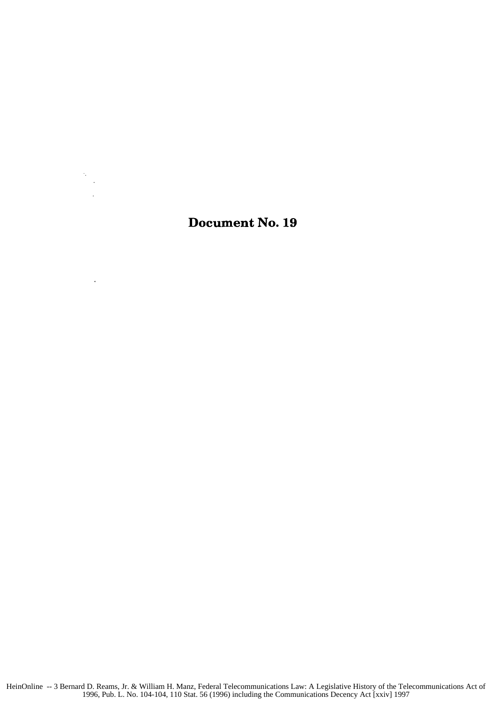Document No. **19**

 $\frac{1}{2} \frac{1}{2} \frac{1}{2}$ 

 $\bar{z}$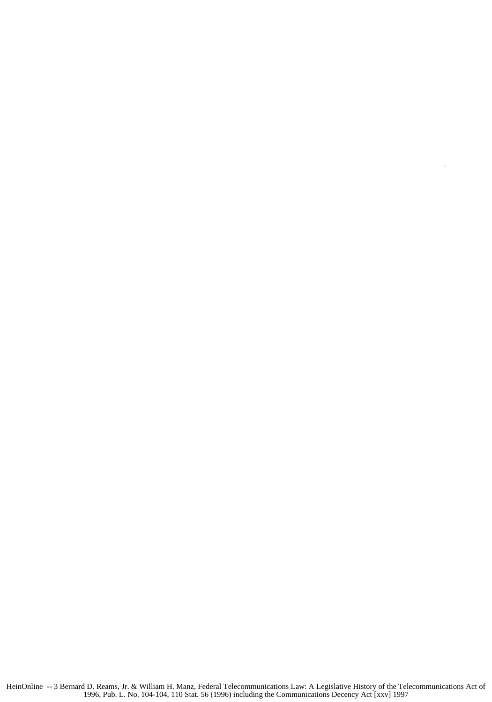HeinOnline -- 3 Bernard D. Reams, Jr. & William H. Manz, Federal Telecommunications Law: A Legislative History of the Telecommunications Act of 1996, Pub. L. No. 104-104, 110 Stat. 56 (1996) including the Communications Decency Act [xxv] 1997

 $\hat{\mathcal{A}}$